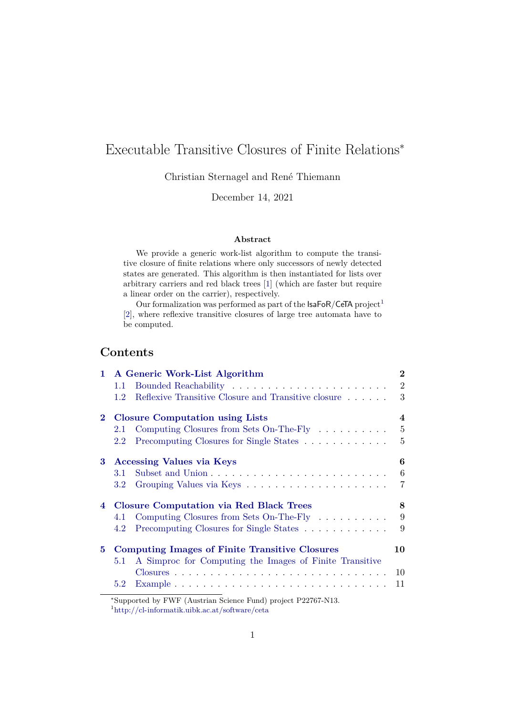# Executable Transitive Closures of Finite Relations<sup>∗</sup>

Christian Sternagel and René Thiemann

December 14, 2021

### **Abstract**

We provide a generic work-list algorithm to compute the transitive closure of finite relations where only successors of newly detected states are generated. This algorithm is then instantiated for lists over arbitrary carriers and red black trees [\[1\]](#page-10-0) (which are faster but require a linear order on the carrier), respectively.

Our formalization was performed as part of the  $IsaFoR/CeTA$  project<sup>[1](#page-0-0)</sup> [\[2\]](#page-10-1), where reflexive transitive closures of large tree automata have to be computed.

# **Contents**

| $\mathbf{1}$ | A Generic Work-List Algorithm                         |                                                         | $\bf{2}$       |
|--------------|-------------------------------------------------------|---------------------------------------------------------|----------------|
|              | $1.1\,$                                               |                                                         | $\overline{2}$ |
|              | 1.2                                                   | Reflexive Transitive Closure and Transitive closure     | 3              |
| $\bf{2}$     | <b>Closure Computation using Lists</b>                |                                                         | 4              |
|              | 2.1                                                   | Computing Closures from Sets On-The-Fly                 | 5              |
|              | 2.2                                                   | Precomputing Closures for Single States                 | 5              |
| 3            | <b>Accessing Values via Keys</b>                      |                                                         | 6              |
|              | 3.1                                                   |                                                         | 6              |
|              | 3.2                                                   |                                                         | $\overline{7}$ |
|              | 4 Closure Computation via Red Black Trees             |                                                         | 8              |
|              | 4.1                                                   | Computing Closures from Sets On-The-Fly                 | 9              |
|              | 4.2                                                   | Precomputing Closures for Single States                 | 9              |
| 5.           | <b>Computing Images of Finite Transitive Closures</b> |                                                         | 10             |
|              | 5.1                                                   | A Simproc for Computing the Images of Finite Transitive |                |
|              |                                                       |                                                         | 10             |
|              | 5.2                                                   |                                                         | 11             |

<sup>∗</sup>Supported by FWF (Austrian Science Fund) project P22767-N13.

<span id="page-0-0"></span><sup>1</sup><http://cl-informatik.uibk.ac.at/software/ceta>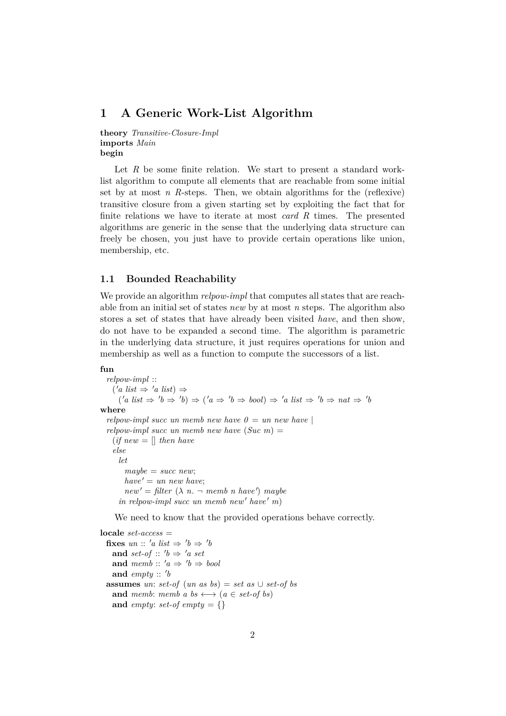### <span id="page-1-0"></span>**1 A Generic Work-List Algorithm**

**theory** *Transitive-Closure-Impl* **imports** *Main* **begin**

Let R be some finite relation. We start to present a standard worklist algorithm to compute all elements that are reachable from some initial set by at most *n* R-steps. Then, we obtain algorithms for the (reflexive) transitive closure from a given starting set by exploiting the fact that for finite relations we have to iterate at most *card R* times. The presented algorithms are generic in the sense that the underlying data structure can freely be chosen, you just have to provide certain operations like union, membership, etc.

#### <span id="page-1-1"></span>**1.1 Bounded Reachability**

We provide an algorithm *relpow-impl* that computes all states that are reachable from an initial set of states *new* by at most *n* steps. The algorithm also stores a set of states that have already been visited *have*, and then show, do not have to be expanded a second time. The algorithm is parametric in the underlying data structure, it just requires operations for union and membership as well as a function to compute the successors of a list.

#### **fun**

*relpow-impl* ::  $('a list \Rightarrow 'a list) \Rightarrow$  $(a \text{ list } \Rightarrow 'b \Rightarrow 'b) \Rightarrow (a \Rightarrow 'b \Rightarrow bool) \Rightarrow 'a \text{ list } \Rightarrow 'b \Rightarrow nat \Rightarrow 'b$ **where** *relpow-impl succ un memb new have*  $0 =$  *un new have relpow-impl succ un memb new have* (*Suc m*) =  $(if new = [] then have$ *else let maybe* = *succ new*;  $have' = un new have;$  $new' = filter (\lambda n. \neg memb n have') may be$  $\int$ *in relpow-impl succ un memb new' have' m*)

We need to know that the provided operations behave correctly.

**locale** *set-access* = **fixes**  $un :: 'a list \Rightarrow 'b \Rightarrow 'b$ and *set-of*  $\therefore$  'b  $\Rightarrow$  'a set **and**  $memb :: 'a \Rightarrow 'b \Rightarrow bool$ and  $empty:: 'b$ **assumes** *un*: *set-of* (*un as bs*) = *set as*  $\cup$  *set-of bs* **and** *memb*: *memb a bs*  $\longleftrightarrow$  (*a*  $\in$  *set-of bs*) and *empty*: *set-of empty* = {}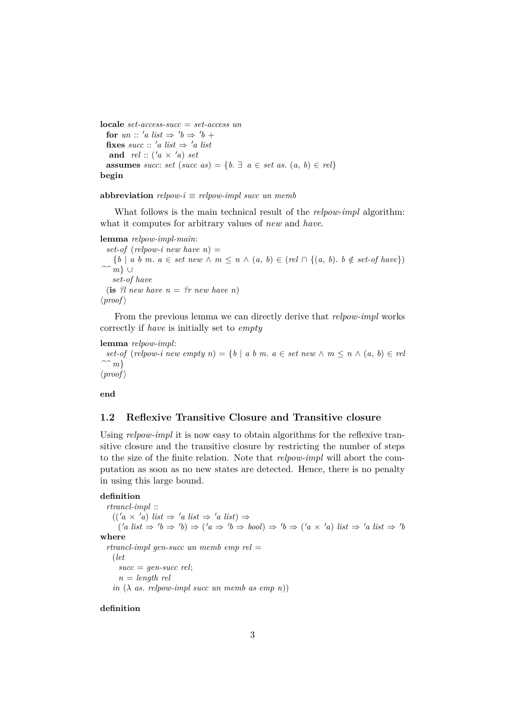**locale** *set-access-succ* = *set-access un* **for** *un* :: '*a list*  $\Rightarrow$  '*b*  $\Rightarrow$  '*b* + **fixes**  $succ$  :: 'a list  $\Rightarrow$  'a list **and**  $rel: (a \times a)$  *set* **assumes** *succ*: *set* (*succ as*) = { $b \in \mathbb{R}$  *a* ∈ *set as.* (*a, b*) ∈ *rel*} **begin**

#### **abbreviation**  $relpow-i \equiv relpow-impl succ$  un memb

What follows is the main technical result of the *relpow-impl* algorithm: what it computes for arbitrary values of *new* and *have*.

**lemma** *relpow-impl-main*:  $set-of$  (*relpow-i new have n*) =  ${b \mid a \mid b \mid m \in se}$  *a*  $\in$  *set new*  $\wedge m \leq n \wedge (a, b) \in (rel \cap \{(a, b) \mid b \notin se \cup of \}$ *^^ m*} ∪ *set-of have* (**is**  $?l$  new have  $n = ?r$  new have n)  $\langle proof \rangle$ 

From the previous lemma we can directly derive that *relpow-impl* works correctly if *have* is initially set to *empty*

```
lemma relpow-impl:
```
*set-of* (*relpow-i new empty n*) = {*b* | *a b m. a*  $\in$  *set new*  $\wedge$  *m*  $\leq$  *n*  $\wedge$  (*a, b*)  $\in$  *rel ^^ m*}  $\langle proof \rangle$ 

**end**

#### <span id="page-2-0"></span>**1.2 Reflexive Transitive Closure and Transitive closure**

Using *relpow-impl* it is now easy to obtain algorithms for the reflexive transitive closure and the transitive closure by restricting the number of steps to the size of the finite relation. Note that *relpow-impl* will abort the computation as soon as no new states are detected. Hence, there is no penalty in using this large bound.

#### **definition**

*rtrancl-impl* ::  $((a \times a)$  *list*  $\Rightarrow 'a$  *list*  $\Rightarrow 'a$  *list*)  $\Rightarrow$  $(a \text{ list } \Rightarrow 'b \Rightarrow 'b) \Rightarrow ('a \Rightarrow 'b \Rightarrow bool) \Rightarrow 'b \Rightarrow ('a \times 'a) \text{ list } \Rightarrow 'a \text{ list } \Rightarrow 'b$ **where** *rtrancl-impl gen-succ un memb emp rel* = (*let succ* = *gen-succ rel*;  $n =$  *length rel*  $in \ (\lambda \ as. \ relpow\text{-}impl \ succ \ un \ memb \ as \ emp \ n))$ 

**definition**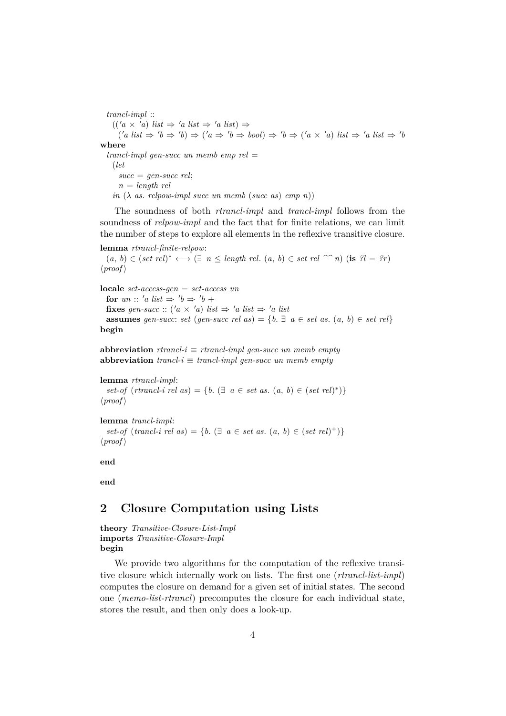*trancl-impl* ::

 $((a \times a)$  *list*  $\Rightarrow 'a$  *list*  $\Rightarrow 'a$  *list*)  $\Rightarrow$ 

 $(a \text{ list } \Rightarrow 'b \Rightarrow 'b) \Rightarrow ('a \Rightarrow 'b \Rightarrow bool) \Rightarrow 'b \Rightarrow ('a \times 'a) \text{ list } \Rightarrow 'a \text{ list } \Rightarrow 'b$ **where**

*trancl-impl gen-succ un memb emp rel* = (*let*  $succ = qen-succ rel;$ 

 $n =$  *length rel* 

 $in \ (\lambda \ as. \ relpow-impl \ succ \ un \ memb \ (succ \ as) \ emp \ n))$ 

The soundness of both *rtrancl-impl* and *trancl-impl* follows from the soundness of *relpow-impl* and the fact that for finite relations, we can limit the number of steps to explore all elements in the reflexive transitive closure.

**lemma** *rtrancl-finite-relpow*:

 $(a, b) \in (set \ rel)^* \longleftrightarrow (\exists n \le length \ rel. (a, b) \in set \ rel \n\infty n)$  (**is**  $?l = ?r$ )  $\langle proof \rangle$ 

**locale** *set-access-gen* = *set-access un*

**for** *un* :: '*a list*  $\Rightarrow$  '*b*  $\Rightarrow$  '*b* + **fixes** *gen-succ* :: (' $a \times a$ ) *list*  $\Rightarrow$  ' $a$  *list*  $\Rightarrow$  ' $a$  *list* **assumes** *gen-succ: set* (*gen-succ rel as*) = { $b. \exists a \in set as.$  ( $a, b$ )  $\in set rel$ }

**begin**

**abbreviation**  $r$ *trancl-i*  $\equiv$   $r$ *trancl-impl gen-succ un memb empty* **abbreviation**  $\text{truncl-}i \equiv \text{trancl-}i$  *trancl-impl gen-succ un memb empty* 

**lemma** *rtrancl-impl*:  $set-of$  ( $r$ *trancl-i rel as*) = { $b$ . ( $\exists$  *a*  $\in$  *set as*. (*a*, *b*)  $\in$  (*set rel*)<sup>\*</sup>)}  $\langle proof \rangle$ 

**lemma** *trancl-impl*: *set-of* (*trancl-i rel as*) = {*b*. (∃ *a* ∈ *set as*. (*a*, *b*) ∈ (*set rel*)<sup>+</sup>)}  $\langle proof \rangle$ 

**end**

**end**

# <span id="page-3-0"></span>**2 Closure Computation using Lists**

**theory** *Transitive-Closure-List-Impl* **imports** *Transitive-Closure-Impl* **begin**

We provide two algorithms for the computation of the reflexive transitive closure which internally work on lists. The first one (*rtrancl-list-impl*) computes the closure on demand for a given set of initial states. The second one (*memo-list-rtrancl*) precomputes the closure for each individual state, stores the result, and then only does a look-up.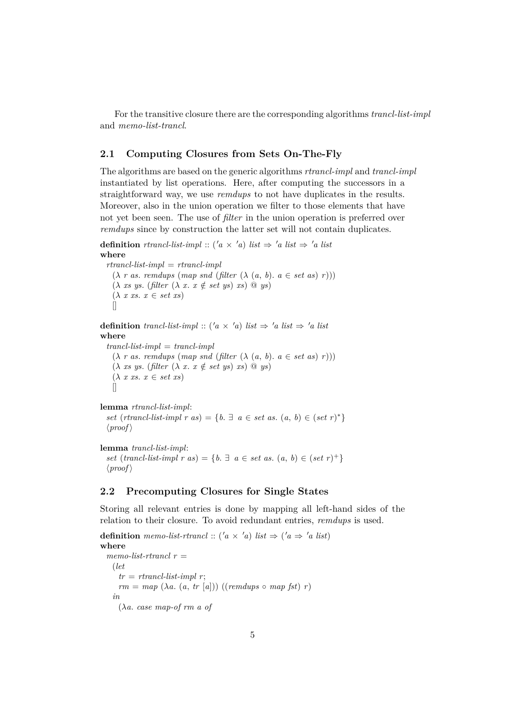For the transitive closure there are the corresponding algorithms *trancl-list-impl* and *memo-list-trancl*.

### <span id="page-4-0"></span>**2.1 Computing Closures from Sets On-The-Fly**

The algorithms are based on the generic algorithms *rtrancl-impl* and *trancl-impl* instantiated by list operations. Here, after computing the successors in a straightforward way, we use *remdups* to not have duplicates in the results. Moreover, also in the union operation we filter to those elements that have not yet been seen. The use of *filter* in the union operation is preferred over *remdups* since by construction the latter set will not contain duplicates.

**definition** *rtrancl-list-impl* :: (' $a \times a$ ) *list*  $\Rightarrow$  ' $a$  *list*  $\Rightarrow$  ' $a$  *list* **where**

*rtrancl-list-impl* = *rtrancl-impl*  $(\lambda \ r \ as. \ r**endups** \ (map \ snd \ (filter \ (\lambda \ (a, b). \ a \in set \ as) \ r))))$  $(\lambda \ \text{xs} \ \text{ys.} \ \text{(filter } (\lambda \ \text{x.} \ \text{x} \notin \text{set} \ \text{ys}) \ \text{xs}) \ @ \ \text{ys})$  $(\lambda \ x \ xs. \ x \in set \ xs)$  $\Box$ 

**definition** *trancl-list-impl* :: (' $a \times a$ ) *list*  $\Rightarrow$  ' $a$  *list*  $\Rightarrow$  ' $a$  *list* **where** *trancl-list-impl* = *trancl-impl*  $(\lambda \, r \, as. \,remdups \, (map \, end \, (filter \, (\lambda \, (a, b), a \in set \, as) \, r)))$  $(\lambda \text{ xs }\text{ ys. } (\text{filter } (\lambda \text{ x. } x \notin \text{set } \text{ ys}) \text{ xs}) \text{ @ }\text{ ys})$  $(\lambda \ x \ xs. \ x \in set \ xs)$  $\prod$ 

**lemma** *rtrancl-list-impl*: *set* (*rtrancl-list-impl r as*) = { $b \in \mathbb{R}$  *a*  $\in$  *set as.*  $(a, b) \in (set r)^*$ }  $\langle proof \rangle$ 

```
lemma trancl-list-impl:
```
*set* (*trancl-list-impl r as*) = { $b$ .  $\exists$   $a \in set$  *as*. ( $a, b$ )  $\in (set r)^{+}$ }  $\langle proof \rangle$ 

### <span id="page-4-1"></span>**2.2 Precomputing Closures for Single States**

Storing all relevant entries is done by mapping all left-hand sides of the relation to their closure. To avoid redundant entries, *remdups* is used.

**definition** memo-list-rtrancl ::  $(a \times a)$  list  $\Rightarrow (a \Rightarrow a$  list) **where** *memo-list-rtrancl r* = (*let*  $tr = \,r$ *trancl-list-impl r*;  $rm = map (\lambda a. (a, tr [a])) ((remdups \circ map fst) r)$ *in* (λ*a*. *case map-of rm a of*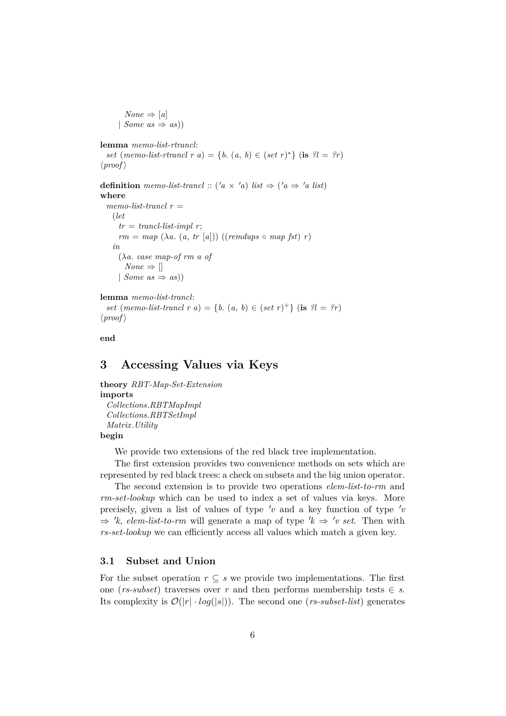$None \Rightarrow [a]$ | *Some as*  $\Rightarrow$  *as*))

```
lemma memo-list-rtrancl:
```
*set* (*memo-list-rtrancl r a*) = {*b*.  $(a, b) \in (set r)^*$ } (**is**  $?l = ?r$ )  $\langle proof \rangle$ 

**definition** memo-list-trancl :: ('a × 'a) list  $\Rightarrow$  ('a  $\Rightarrow$  'a list) **where**  $$ (*let*  $tr = trancl-list-impl$  r;

 $rm = map (\lambda a. (a, tr [a])) ((remdups \circ map fst) r)$ *in* (λ*a*. *case map-of rm a of*  $None \Rightarrow$ | *Some as*  $\Rightarrow$  *as*))

#### **lemma** *memo-list-trancl*:

*set* (*memo-list-trancl r a*) = {*b*. (*a*, *b*)  $\in$  (*set r*)<sup>+</sup>} (**is** ?*l* = ?*r*)  $\langle proof \rangle$ 

**end**

# <span id="page-5-0"></span>**3 Accessing Values via Keys**

**theory** *RBT-Map-Set-Extension* **imports** *Collections*.*RBTMapImpl Collections*.*RBTSetImpl Matrix*.*Utility* **begin**

We provide two extensions of the red black tree implementation.

The first extension provides two convenience methods on sets which are represented by red black trees: a check on subsets and the big union operator.

The second extension is to provide two operations *elem-list-to-rm* and *rm-set-lookup* which can be used to index a set of values via keys. More precisely, given a list of values of type  $\prime v$  and a key function of type  $\prime v$  $\Rightarrow$  'k, *elem-list-to-rm* will generate a map of type 'k  $\Rightarrow$  'v set. Then with *rs-set-lookup* we can efficiently access all values which match a given key.

### <span id="page-5-1"></span>**3.1 Subset and Union**

For the subset operation  $r \subseteq s$  we provide two implementations. The first one ( $rs\text{-}subset$ ) traverses over  $r$  and then performs membership tests  $\in s$ . Its complexity is  $\mathcal{O}(|r| \cdot log(|s|))$ . The second one (*rs-subset-list*) generates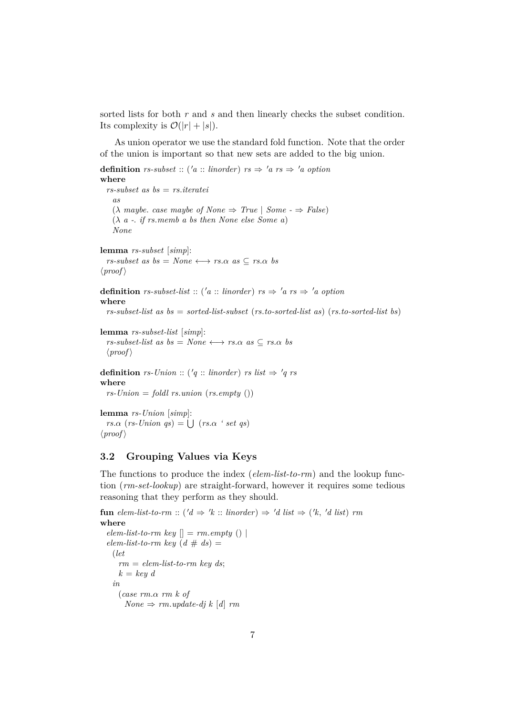sorted lists for both *r* and *s* and then linearly checks the subset condition. Its complexity is  $\mathcal{O}(|r| + |s|)$ .

As union operator we use the standard fold function. Note that the order of the union is important so that new sets are added to the big union.

```
definition rs-subset :: ('a :: linorder) rs \Rightarrow 'a rs \Rightarrow 'a option
where
  rs-subset as bs = rs.iteratei
    as
    (\lambda \text{ maybe. case maybe of None} \Rightarrow \text{True} | \text{Some} \Rightarrow \text{False})(λ a -. if rs.memb a bs then None else Some a)
    None
lemma rs-subset [simp]:
  rs\text{-}subset as bs as bs = None \longleftrightarrow rs.\alpha \text{ as } \subseteq rs.\alpha \text{ bs}\langle proof \rangledefinition rs-subset-list :: ('a :: linorder) rs \Rightarrow 'a rs \Rightarrow 'a option
where
  rs-subset-list as bs = sorted-list-subset (rs.to-sorted-list as) (rs.to-sorted-list bs)
lemma rs-subset-list [simp]:
  rs-subset-list as bs = None \longleftrightarrow rs.\alpha as \subseteq rs.\alpha bs\langle proof \rangledefinition rs-Union :: ('q :: linorder) rs list \Rightarrow 'q rswhere
  rs\text{-}Union = fold rs. union (rs. empty ())
```
**lemma** *rs-Union* [*simp*]:  $rs.\alpha$  (*rs*-*Union qs*) =  $\bigcup$  (*rs.α ' set qs*)  $\langle proof \rangle$ 

### <span id="page-6-0"></span>**3.2 Grouping Values via Keys**

The functions to produce the index (*elem-list-to-rm*) and the lookup function (*rm-set-lookup*) are straight-forward, however it requires some tedious reasoning that they perform as they should.

```
fun elem-list-to-rm :: ('d \Rightarrow 'k :: linorder) \Rightarrow 'd list \Rightarrow ('k, 'd list) rm
where
 elem-list-to-rm key [] = rm.empty ()elementist-to-rm key (d # ds) =(let
     rm = elem-list-to-rm key ds;
     k = key din
     (case rm.α rm k of
       None \Rightarrow rm.update-dj k [d] rm
```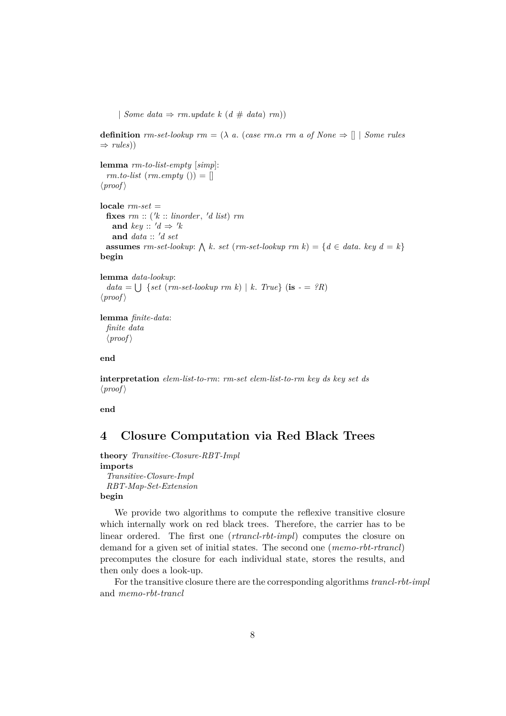| *Some data*  $\Rightarrow$  *rm.update*  $k$  (*d*  $\#$  *data*) *rm*))

**definition**  $rm-set-lookup$   $rm = (\lambda \ a.$  (*case rm.a rm a of None*  $\Rightarrow$  [] | *Some rules*  $\Rightarrow$  *rules*))

```
lemma rm-to-list-empty [simp]:
 rm. to-list (rm. empty () =\langle proof \rangle
```

```
locale rm-set =
  fixes rm :: ('k :: linorder, 'd list) rmand key :: 'd \Rightarrow 'kand data :: 'd set
  assumes rm-set-lookup: \bigwedge k. set (rm-set-lookup: <math>rm k</math>) = {<math>d \in data</math>. key <math>d = k</math>}begin
```

```
lemma data-lookup:
```

```
data = \bigcup {set (rm-set-lookup rm k) | k. True} (is - = ?R)
\langle proof \rangle
```
**lemma** *finite-data*: *finite data*  $\langle proof \rangle$ 

**end**

**interpretation** *elem-list-to-rm*: *rm-set elem-list-to-rm key ds key set ds*  $\langle proof \rangle$ 

**end**

# <span id="page-7-0"></span>**4 Closure Computation via Red Black Trees**

**theory** *Transitive-Closure-RBT-Impl* **imports** *Transitive-Closure-Impl RBT-Map-Set-Extension*

**begin**

We provide two algorithms to compute the reflexive transitive closure which internally work on red black trees. Therefore, the carrier has to be linear ordered. The first one (*rtrancl-rbt-impl*) computes the closure on demand for a given set of initial states. The second one (*memo-rbt-rtrancl*) precomputes the closure for each individual state, stores the results, and then only does a look-up.

For the transitive closure there are the corresponding algorithms *trancl-rbt-impl* and *memo-rbt-trancl*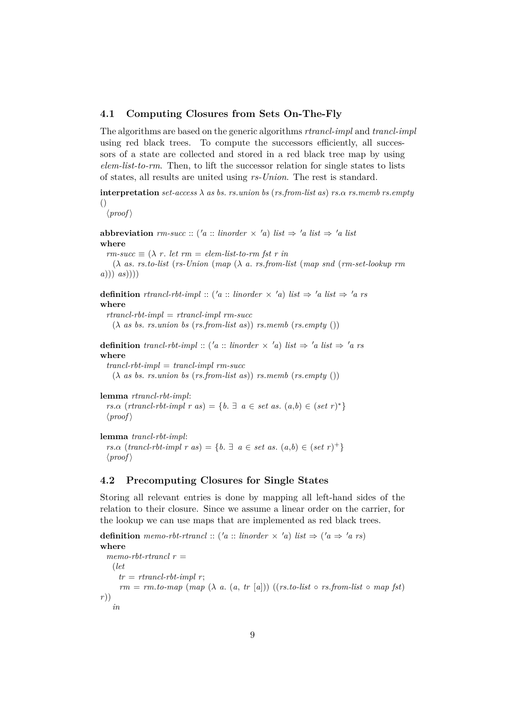### <span id="page-8-0"></span>**4.1 Computing Closures from Sets On-The-Fly**

The algorithms are based on the generic algorithms *rtrancl-impl* and *trancl-impl* using red black trees. To compute the successors efficiently, all successors of a state are collected and stored in a red black tree map by using *elem-list-to-rm*. Then, to lift the successor relation for single states to lists of states, all results are united using *rs-Union*. The rest is standard.

**interpretation**  $set$ -access  $\lambda$  as bs. *rs*.*union* bs (*rs*.*from-list as*) *rs*. $\alpha$  *rs*.*memb rs.empty* ()

 $\langle proof \rangle$ 

**abbreviation**  $rm-succ :: ('a :: linorder \times 'a) list \Rightarrow 'a list \Rightarrow 'a list$ **where**

 $r_{\textit{r}} = \sum_{i=1}^{n} (r_i - r_i)$  *r*  $i \in \mathbb{Z}$  *r*  $i \in \mathbb{Z}$  *r*  $i \in \mathbb{Z}$  *r*  $i \in \mathbb{Z}$  *r*  $i \in \mathbb{Z}$  *r*  $i \in \mathbb{Z}$  *r*  $i \in \mathbb{Z}$  *r*  $i \in \mathbb{Z}$  *r*  $i \in \mathbb{Z}$  *r*  $i \in \mathbb{Z}$  *r*  $i \in \mathbb{Z}$  *r*  $i \in \mathbb{Z}$ 

(λ *as*. *rs*.*to-list* (*rs-Union* (*map* (λ *a*. *rs*.*from-list* (*map snd* (*rm-set-lookup rm a*))) *as*))))

**definition** *rtrancl-rbt-impl* :: ('*a* :: *linorder*  $\times$  '*a*) *list*  $\Rightarrow$  '*a list*  $\Rightarrow$  '*a rs* **where** *rtrancl-rbt-impl* = *rtrancl-impl rm-succ*

(λ *as bs*. *rs*.*union bs* (*rs*.*from-list as*)) *rs*.*memb* (*rs*.*empty* ())

**definition** *trancl-rbt-impl* :: ('*a* :: *linorder*  $\times$  '*a*) *list*  $\Rightarrow$  '*a list*  $\Rightarrow$  '*a rs* **where**

*trancl-rbt-impl* = *trancl-impl rm-succ* (λ *as bs*. *rs*.*union bs* (*rs*.*from-list as*)) *rs*.*memb* (*rs*.*empty* ())

**lemma** *rtrancl-rbt-impl*:

*rs*. $\alpha$  (*rtrancl-rbt-impl r as*) = { $b$ .  $\exists$  *a*  $\in$  *set as*. (*a*,*b*)  $\in$  (*set r*)<sup>\*</sup>}  $\langle proof \rangle$ 

```
lemma trancl-rbt-impl:
  rs.\alpha (trancl-rbt-impl r as) = {b. \exists a \in set as. (a,b) \in (set \ r)^+}
  \langle proof \rangle
```
### <span id="page-8-1"></span>**4.2 Precomputing Closures for Single States**

Storing all relevant entries is done by mapping all left-hand sides of the relation to their closure. Since we assume a linear order on the carrier, for the lookup we can use maps that are implemented as red black trees.

**definition** memo-rbt-rtrancl :: ('a :: *linorder*  $\times$  'a) *list*  $\Rightarrow$  ('a  $\Rightarrow$  'a rs) **where** *memo-rbt-rtrancl r* = (*let*  $tr = \,r$ *trancl-rbt-impl r*;  $rm = rm.to-map$   $(map \ (\lambda \ a. \ (a, tr \ [a]))$   $((rs.to-list \ o \ rs.from-list \ o \ map \ fst))$ *r*)) *in*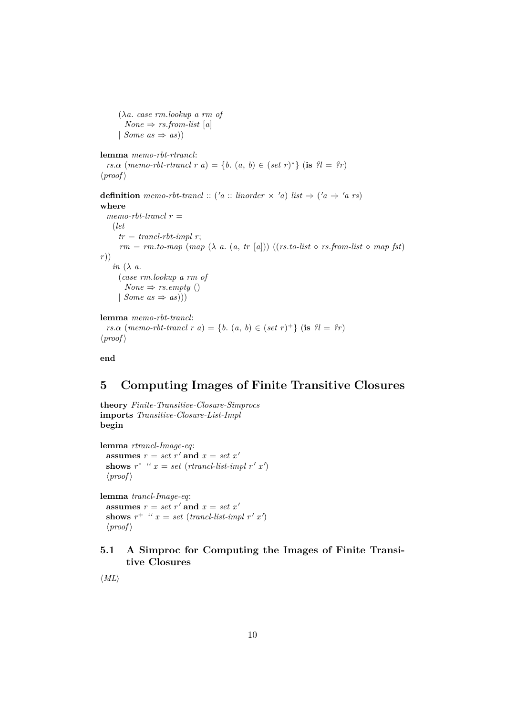```
(λa. case rm.lookup a rm of
        None \Rightarrow rs. from-list [a]| Some as \Rightarrow as))
lemma memo-rbt-rtrancl:
  rs.\alpha (memo-rbt-rtrancl r a) = {b. (a, b) \in (set r)<sup>*</sup>} (is ?l = ?r)
\langle proof \rangledefinition memo-rbt-trancl :: ('a :: linorder \times 'a) list \Rightarrow ('a \Rightarrow 'a rs)
where
  memo-rbt-trancl r =
    (let
      tr = \text{trancl-rbt-impl } r;rm = rm.to-map (map (\lambda a. (a, tr [a])) ((rs.to-list \circ rs. from-list \circ map fst))r))
    in (λ a.
     (case rm.lookup a rm of
       None \Rightarrow rs. \emptyset ()
     (Some\ as \Rightarrow as))lemma memo-rbt-trancl:
```

```
rs.\alpha (memo-rbt-trancl r a) = {b. (a, b) \in (set r)<sup>+</sup>} (is ?l = ?r)
\langle proof \rangle
```
**end**

# <span id="page-9-0"></span>**5 Computing Images of Finite Transitive Closures**

**theory** *Finite-Transitive-Closure-Simprocs* **imports** *Transitive-Closure-List-Impl* **begin**

**lemma** *rtrancl-Image-eq*: **assumes**  $r = set r'$  and  $x = set x'$ shows  $r^*$  " $x = set (rtrancl-list-impl r' x')$  $\langle proof \rangle$ 

**lemma** *trancl-Image-eq*: **assumes**  $r = set r'$  **and**  $x = set x'$ shows  $r^+$  "  $x = set$  (*trancl-list-impl*  $r'$   $x'$ )  $\langle proof \rangle$ 

## <span id="page-9-1"></span>**5.1 A Simproc for Computing the Images of Finite Transitive Closures**

 $\langle ML\rangle$